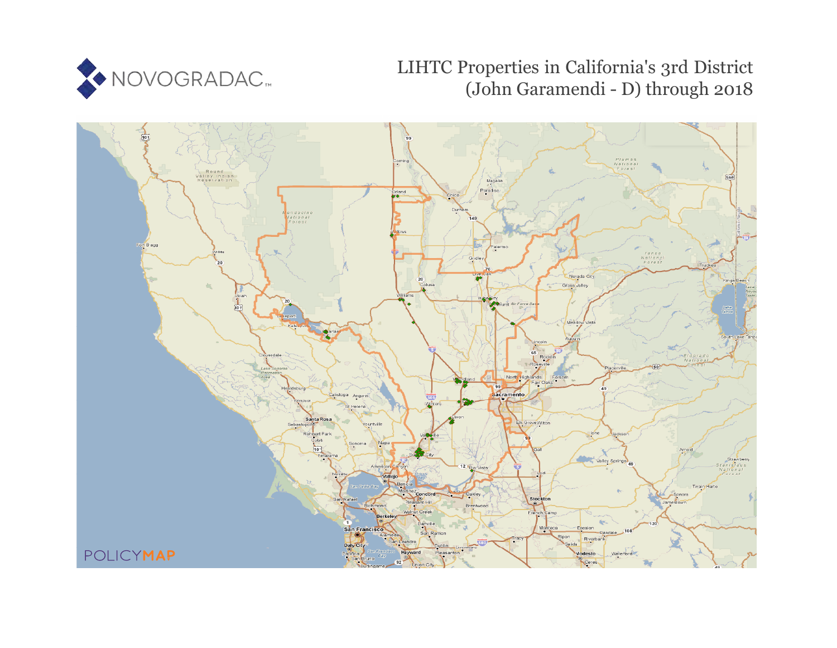

# LIHTC Properties in California's 3rd District (John Garamendi - D) through 2018

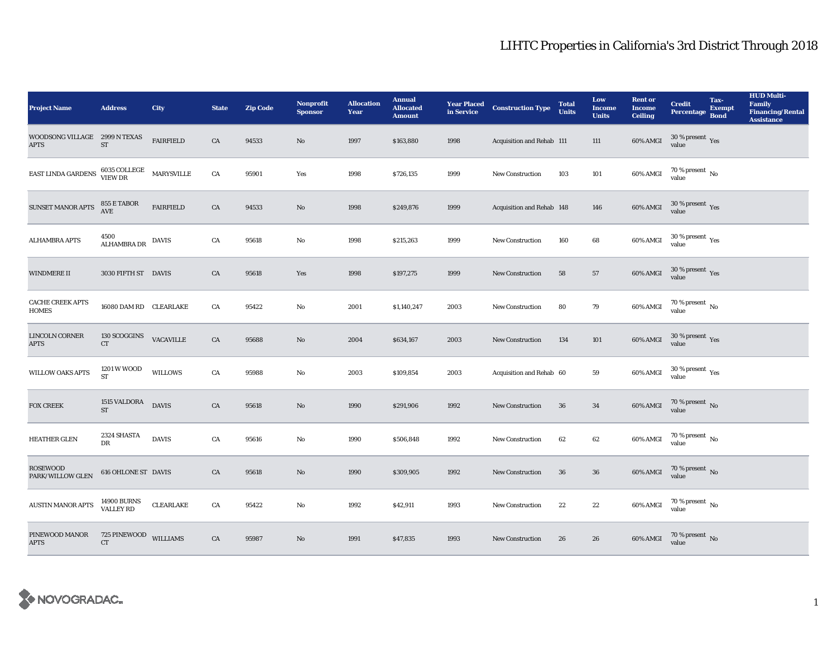| <b>Project Name</b>                          | <b>Address</b>                     | City             | <b>State</b> | <b>Zip Code</b> | <b>Nonprofit</b><br><b>Sponsor</b> | <b>Allocation</b><br>Year | <b>Annual</b><br><b>Allocated</b><br><b>Amount</b> |      | <b>Year Placed Construction Type</b><br>in Service <b>Construction</b> Type | <b>Total</b><br><b>Units</b> | Low<br><b>Income</b><br><b>Units</b> | <b>Rent or</b><br><b>Income</b><br><b>Ceiling</b> | <b>Credit</b><br><b>Percentage</b>     | Tax-<br><b>Exempt</b><br><b>Bond</b> | <b>HUD Multi-</b><br><b>Family</b><br><b>Financing/Rental</b><br><b>Assistance</b> |
|----------------------------------------------|------------------------------------|------------------|--------------|-----------------|------------------------------------|---------------------------|----------------------------------------------------|------|-----------------------------------------------------------------------------|------------------------------|--------------------------------------|---------------------------------------------------|----------------------------------------|--------------------------------------|------------------------------------------------------------------------------------|
| WOODSONG VILLAGE 2999 N TEXAS<br><b>APTS</b> | $\operatorname{ST}$                | <b>FAIRFIELD</b> | CA           | 94533           | $\mathbf{N}\mathbf{o}$             | 1997                      | \$163,880                                          | 1998 | Acquisition and Rehab 111                                                   |                              | 111                                  | 60% AMGI                                          | $30\,\%$ present $\,$ Yes value        |                                      |                                                                                    |
| EAST LINDA GARDENS                           | $6035$ COLLEGE MARYSVILLE VIEW DR  |                  | CA           | 95901           | Yes                                | 1998                      | \$726,135                                          | 1999 | <b>New Construction</b>                                                     | 103                          | 101                                  | 60% AMGI                                          | $70$ % present $\,$ No $\,$ value $\,$ |                                      |                                                                                    |
| SUNSET MANOR APTS                            | 855 E TABOR<br>AVE                 | <b>FAIRFIELD</b> | CA           | 94533           | $\mathbf{N}\mathbf{o}$             | 1998                      | \$249,876                                          | 1999 | Acquisition and Rehab 148                                                   |                              | 146                                  | 60% AMGI                                          | $30\,\%$ present $\,$ Yes value        |                                      |                                                                                    |
| <b>ALHAMBRA APTS</b>                         | 4500<br>ALHAMBRA DR                | <b>DAVIS</b>     | CA           | 95618           | $\rm No$                           | 1998                      | \$215,263                                          | 1999 | New Construction                                                            | 160                          | 68                                   | 60% AMGI                                          | $30\,\%$ present $\,$ Yes value        |                                      |                                                                                    |
| WINDMERE II                                  | 3030 FIFTH ST DAVIS                |                  | ${\rm CA}$   | 95618           | Yes                                | 1998                      | \$197,275                                          | 1999 | New Construction                                                            | 58                           | 57                                   | 60% AMGI                                          | $30\,\%$ present $\,$ Yes value        |                                      |                                                                                    |
| <b>CACHE CREEK APTS</b><br><b>HOMES</b>      | 16080 DAM RD CLEARLAKE             |                  | CA           | 95422           | No                                 | 2001                      | \$1,140,247                                        | 2003 | <b>New Construction</b>                                                     | 80                           | 79                                   | 60% AMGI                                          | $70\,\%$ present $\,$ No value         |                                      |                                                                                    |
| LINCOLN CORNER<br><b>APTS</b>                | 130 SCOGGINS<br>${\cal C}{\cal T}$ | <b>VACAVILLE</b> | CA           | 95688           | $\rm No$                           | 2004                      | \$634,167                                          | 2003 | <b>New Construction</b>                                                     | 134                          | 101                                  | 60% AMGI                                          | $30\,\%$ present $\,$ Yes value        |                                      |                                                                                    |
| WILLOW OAKS APTS                             | 1201 W WOOD<br>${\cal ST}$         | <b>WILLOWS</b>   | ${\rm CA}$   | 95988           | No                                 | 2003                      | \$109,854                                          | 2003 | Acquisition and Rehab 60                                                    |                              | ${\bf 59}$                           | 60% AMGI                                          | $30\,\%$ present $\,$ Yes value        |                                      |                                                                                    |
| <b>FOX CREEK</b>                             | 1515 VALDORA<br><b>ST</b>          | <b>DAVIS</b>     | CA           | 95618           | $\rm No$                           | 1990                      | \$291,906                                          | 1992 | New Construction                                                            | 36                           | 34                                   | 60% AMGI                                          | $70\,\%$ present $\,$ No value         |                                      |                                                                                    |
| <b>HEATHER GLEN</b>                          | 2324 SHASTA<br>DR                  | <b>DAVIS</b>     | ${\rm CA}$   | 95616           | No                                 | 1990                      | \$506,848                                          | 1992 | New Construction                                                            | 62                           | 62                                   | 60% AMGI                                          | $70\,\%$ present $\,$ No value         |                                      |                                                                                    |
| ROSEWOOD<br>PARK/WILLOW GLEN                 | <b>616 OHLONE ST DAVIS</b>         |                  | CA           | 95618           | $\rm No$                           | 1990                      | \$309,905                                          | 1992 | New Construction                                                            | ${\bf 36}$                   | ${\bf 36}$                           | 60% AMGI                                          | $70\,\%$ present $_{\rm{No}}$          |                                      |                                                                                    |
| <b>AUSTIN MANOR APTS</b>                     | 14900 BURNS<br>VALLEY RD           | CLEARLAKE        | ${\rm CA}$   | 95422           | $\mathbf{No}$                      | 1992                      | \$42,911                                           | 1993 | New Construction                                                            | 22                           | $\bf{22}$                            | 60% AMGI                                          | $70\,\%$ present $\,$ No value         |                                      |                                                                                    |
| PINEWOOD MANOR<br><b>APTS</b>                | 725 PINEWOOD<br>CT                 | <b>WILLIAMS</b>  | CA           | 95987           | $\mathbf{N}\mathbf{o}$             | 1991                      | \$47,835                                           | 1993 | <b>New Construction</b>                                                     | 26                           | 26                                   | 60% AMGI                                          | $70$ % present $\,$ No value           |                                      |                                                                                    |

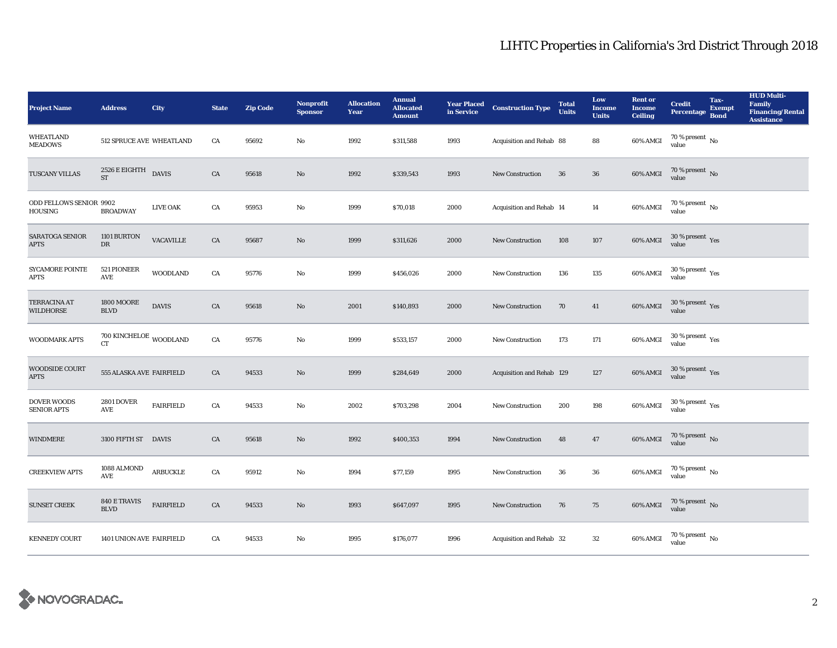| <b>Project Name</b>                       | <b>Address</b>                                 | <b>City</b>      | <b>State</b> | <b>Zip Code</b> | <b>Nonprofit</b><br><b>Sponsor</b> | <b>Allocation</b><br>Year | <b>Annual</b><br><b>Allocated</b><br><b>Amount</b> | <b>Year Placed<br/>in Service</b> | <b>Construction Type</b>  | <b>Total</b><br><b>Units</b> | Low<br><b>Income</b><br><b>Units</b> | <b>Rent or</b><br><b>Income</b><br><b>Ceiling</b> | <b>Credit</b><br><b>Percentage</b>      | Tax-<br><b>Exempt</b><br><b>Bond</b> | <b>HUD Multi-</b><br>Family<br><b>Financing/Rental</b><br><b>Assistance</b> |
|-------------------------------------------|------------------------------------------------|------------------|--------------|-----------------|------------------------------------|---------------------------|----------------------------------------------------|-----------------------------------|---------------------------|------------------------------|--------------------------------------|---------------------------------------------------|-----------------------------------------|--------------------------------------|-----------------------------------------------------------------------------|
| <b>WHEATLAND</b><br><b>MEADOWS</b>        | 512 SPRUCE AVE WHEATLAND                       |                  | CA           | 95692           | No                                 | 1992                      | \$311,588                                          | 1993                              | Acquisition and Rehab 88  |                              | 88                                   | 60% AMGI                                          | 70 % present $\,$ No $\,$<br>value      |                                      |                                                                             |
| TUSCANY VILLAS                            | $2526 \to \mathrm{EIGHTH} \quad$ DAVIS ST      |                  | ${\rm CA}$   | 95618           | No                                 | 1992                      | \$339,543                                          | 1993                              | New Construction          | ${\bf 36}$                   | ${\bf 36}$                           | 60% AMGI                                          | $70$ % present $\,$ No value            |                                      |                                                                             |
| ODD FELLOWS SENIOR 9902<br><b>HOUSING</b> | <b>BROADWAY</b>                                | <b>LIVE OAK</b>  | CA           | 95953           | No                                 | 1999                      | \$70,018                                           | 2000                              | Acquisition and Rehab 14  |                              | 14                                   | 60% AMGI                                          | $70$ % present $\,$ No value            |                                      |                                                                             |
| SARATOGA SENIOR<br><b>APTS</b>            | 1101 BURTON<br>DR                              | <b>VACAVILLE</b> | CA           | 95687           | No                                 | 1999                      | \$311,626                                          | 2000                              | <b>New Construction</b>   | 108                          | 107                                  | 60% AMGI                                          | $30\,\%$ present $\,$ Yes value         |                                      |                                                                             |
| <b>SYCAMORE POINTE</b><br><b>APTS</b>     | 521 PIONEER<br>$\operatorname{AVE}$            | <b>WOODLAND</b>  | CA           | 95776           | $\mathbf{No}$                      | 1999                      | \$456,026                                          | 2000                              | <b>New Construction</b>   | 136                          | 135                                  | 60% AMGI                                          | $30\,\%$ present $\,$ Yes value         |                                      |                                                                             |
| <b>TERRACINA AT</b><br>WILDHORSE          | <b>1800 MOORE</b><br><b>BLVD</b>               | <b>DAVIS</b>     | CA           | 95618           | No                                 | 2001                      | \$140,893                                          | 2000                              | New Construction          | 70                           | 41                                   | 60% AMGI                                          | $30\,\%$ present $\,$ Yes value         |                                      |                                                                             |
| WOODMARK APTS                             | $700$ KINCHELOE $_{\rm WOODLAND}$<br><b>CT</b> |                  | CA           | 95776           | No                                 | 1999                      | \$533,157                                          | 2000                              | New Construction          | 173                          | $171\,$                              | 60% AMGI                                          | $30\,\%$ present $\,\mathrm{Yes}$ value |                                      |                                                                             |
| WOODSIDE COURT<br><b>APTS</b>             | 555 ALASKA AVE FAIRFIELD                       |                  | CA           | 94533           | No                                 | 1999                      | \$284,649                                          | 2000                              | Acquisition and Rehab 129 |                              | 127                                  | 60% AMGI                                          | $30\,\%$ present $\,$ Yes value         |                                      |                                                                             |
| <b>DOVER WOODS</b><br><b>SENIOR APTS</b>  | <b>2801 DOVER</b><br>AVE                       | <b>FAIRFIELD</b> | CA           | 94533           | No                                 | 2002                      | \$703,298                                          | 2004                              | <b>New Construction</b>   | 200                          | 198                                  | 60% AMGI                                          | $30\,\%$ present $\,\mathrm{Yes}$ value |                                      |                                                                             |
| <b>WINDMERE</b>                           | 3100 FIFTH ST DAVIS                            |                  | CA           | 95618           | No                                 | 1992                      | \$400,353                                          | 1994                              | New Construction          | 48                           | 47                                   | $60\%$ AMGI                                       | $70\,\%$ present $\,$ No value          |                                      |                                                                             |
| <b>CREEKVIEW APTS</b>                     | 1088 ALMOND<br>AVE                             | ARBUCKLE         | ${\rm CA}$   | 95912           | No                                 | 1994                      | \$77,159                                           | 1995                              | New Construction          | 36                           | $36\,$                               | 60% AMGI                                          | $70\,\%$ present $\,$ No value          |                                      |                                                                             |
| <b>SUNSET CREEK</b>                       | <b>840 E TRAVIS</b><br><b>BLVD</b>             | <b>FAIRFIELD</b> | CA           | 94533           | No                                 | 1993                      | \$647,097                                          | 1995                              | New Construction          | 76                           | 75                                   | $60\%$ AMGI                                       | $70\,\%$ present $\,$ No value          |                                      |                                                                             |
| <b>KENNEDY COURT</b>                      | 1401 UNION AVE FAIRFIELD                       |                  | CA           | 94533           | No                                 | 1995                      | \$176,077                                          | 1996                              | Acquisition and Rehab 32  |                              | $32\phantom{.0}$                     | 60% AMGI                                          | $70\,\%$ present $\,$ No value          |                                      |                                                                             |

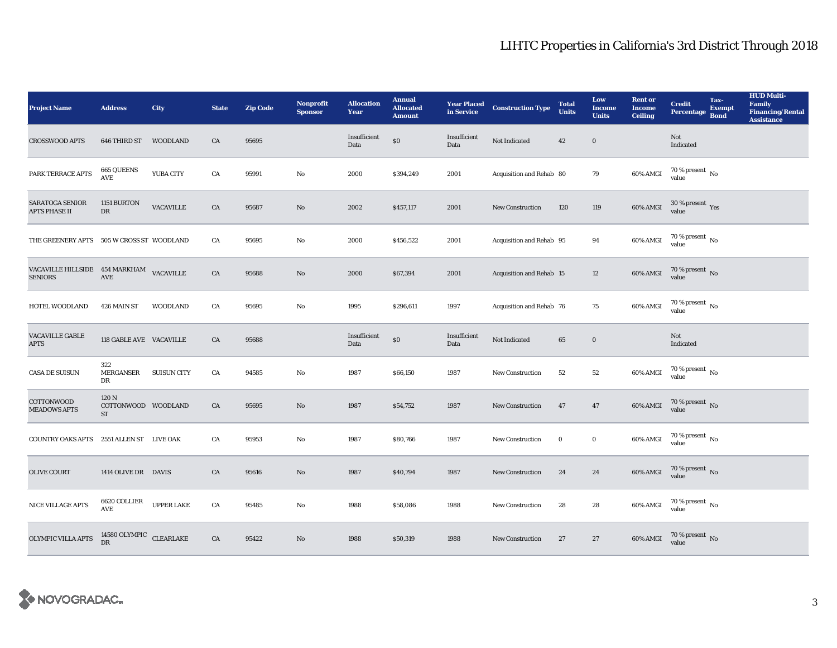| <b>Project Name</b>                                        | <b>Address</b>                                       | City               | <b>State</b> | <b>Zip Code</b> | <b>Nonprofit</b><br><b>Sponsor</b> | <b>Allocation</b><br>Year | <b>Annual</b><br><b>Allocated</b><br><b>Amount</b> |                      | <b>Year Placed Construction Type</b><br>in Service <b>Construction</b> Type | <b>Total</b><br><b>Units</b> | Low<br><b>Income</b><br><b>Units</b> | <b>Rent or</b><br><b>Income</b><br><b>Ceiling</b> | <b>Credit</b><br><b>Percentage</b>   | Tax-<br><b>Exempt</b><br><b>Bond</b> | <b>HUD Multi-</b><br><b>Family</b><br><b>Financing/Rental</b><br><b>Assistance</b> |
|------------------------------------------------------------|------------------------------------------------------|--------------------|--------------|-----------------|------------------------------------|---------------------------|----------------------------------------------------|----------------------|-----------------------------------------------------------------------------|------------------------------|--------------------------------------|---------------------------------------------------|--------------------------------------|--------------------------------------|------------------------------------------------------------------------------------|
| <b>CROSSWOOD APTS</b>                                      | 646 THIRD ST                                         | <b>WOODLAND</b>    | CA           | 95695           |                                    | Insufficient<br>Data      | $\$0$                                              | Insufficient<br>Data | Not Indicated                                                               | 42                           | $\bf{0}$                             |                                                   | Not<br>Indicated                     |                                      |                                                                                    |
| PARK TERRACE APTS                                          | 665 QUEENS<br>$\operatorname{AVE}$                   | YUBA CITY          | CA           | 95991           | $\rm No$                           | 2000                      | \$394,249                                          | 2001                 | Acquisition and Rehab 80                                                    |                              | 79                                   | 60% AMGI                                          | $70\,\%$ present $\,$ No value       |                                      |                                                                                    |
| <b>SARATOGA SENIOR</b><br><b>APTS PHASE II</b>             | 1151 BURTON<br>DR                                    | <b>VACAVILLE</b>   | CA           | 95687           | $\mathbf{N}\mathbf{o}$             | 2002                      | \$457,117                                          | 2001                 | New Construction                                                            | 120                          | 119                                  | 60% AMGI                                          | $30\,\%$ present $\,$ Yes value      |                                      |                                                                                    |
| THE GREENERY APTS 505 W CROSS ST WOODLAND                  |                                                      |                    | ${\rm CA}$   | 95695           | $\rm No$                           | 2000                      | \$456,522                                          | 2001                 | Acquisition and Rehab 95                                                    |                              | 94                                   | 60% AMGI                                          | $70$ % present $\,$ No value         |                                      |                                                                                    |
| VACAVILLE HILLSIDE 454 MARKHAM VACAVILLE<br><b>SENIORS</b> | AVE                                                  |                    | ${\rm CA}$   | 95688           | No                                 | 2000                      | \$67,394                                           | 2001                 | Acquisition and Rehab 15                                                    |                              | 12                                   | 60% AMGI                                          | $70$ % present $\,$ No value         |                                      |                                                                                    |
| HOTEL WOODLAND                                             | 426 MAIN ST                                          | <b>WOODLAND</b>    | CA           | 95695           | $\rm No$                           | 1995                      | \$296,611                                          | 1997                 | Acquisition and Rehab 76                                                    |                              | 75                                   | 60% AMGI                                          | $70\,\%$ present $\,$ No value       |                                      |                                                                                    |
| <b>VACAVILLE GABLE</b><br><b>APTS</b>                      | 118 GABLE AVE VACAVILLE                              |                    | CA           | 95688           |                                    | Insufficient<br>Data      | $\$0$                                              | Insufficient<br>Data | Not Indicated                                                               | 65                           | $\bf{0}$                             |                                                   | Not<br>Indicated                     |                                      |                                                                                    |
| <b>CASA DE SUISUN</b>                                      | 322<br><b>MERGANSER</b><br>DR                        | <b>SUISUN CITY</b> | CA           | 94585           | $\rm No$                           | 1987                      | \$66,150                                           | 1987                 | New Construction                                                            | $^{\rm 52}$                  | ${\bf 52}$                           | 60% AMGI                                          | $70$ % present $\,$ No value         |                                      |                                                                                    |
| COTTONWOOD<br><b>MEADOWS APTS</b>                          | 120 <sub>N</sub><br>COTTONWOOD WOODLAND<br><b>ST</b> |                    | CA           | 95695           | $\mathbf{N}\mathbf{o}$             | 1987                      | \$54,752                                           | 1987                 | <b>New Construction</b>                                                     | 47                           | 47                                   | 60% AMGI                                          | $70$ % present $\,$ No value         |                                      |                                                                                    |
| <b>COUNTRY OAKS APTS</b>                                   | 2551 ALLEN ST LIVE OAK                               |                    | CA           | 95953           | $\rm No$                           | 1987                      | \$80,766                                           | 1987                 | <b>New Construction</b>                                                     | $\bf{0}$                     | $\bf{0}$                             | 60% AMGI                                          | $70$ % present $\,$ No $\,$<br>value |                                      |                                                                                    |
| <b>OLIVE COURT</b>                                         | 1414 OLIVE DR DAVIS                                  |                    | CA           | 95616           | No                                 | 1987                      | \$40,794                                           | 1987                 | <b>New Construction</b>                                                     | 24                           | 24                                   | 60% AMGI                                          | $70$ % present $\,$ No value         |                                      |                                                                                    |
| NICE VILLAGE APTS                                          | 6620 COLLIER<br>$\operatorname{AVE}$                 | <b>UPPER LAKE</b>  | CA           | 95485           | $\mathbf{N}\mathbf{o}$             | 1988                      | \$58,086                                           | 1988                 | <b>New Construction</b>                                                     | 28                           | $\bf 28$                             | 60% AMGI                                          | $70\,\%$ present $\,$ No value       |                                      |                                                                                    |
| OLYMPIC VILLA APTS                                         | 14580 OLYMPIC CLEARLAKE<br><b>DR</b>                 |                    | CA           | 95422           | No                                 | 1988                      | \$50,319                                           | 1988                 | <b>New Construction</b>                                                     | 27                           | 27                                   | 60% AMGI                                          | $70\,\%$ present $\,$ No value       |                                      |                                                                                    |

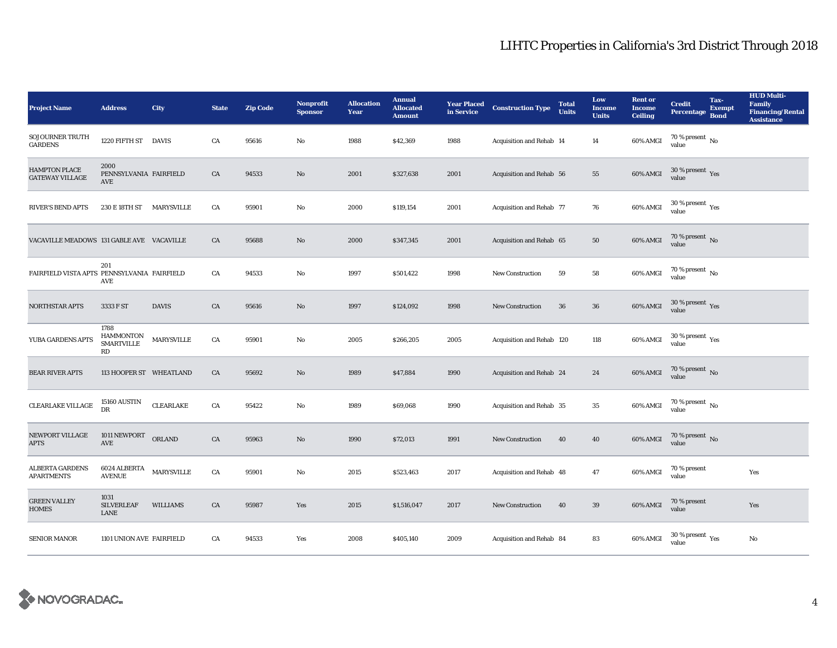| <b>Project Name</b>                            | <b>Address</b>                                      | City              | <b>State</b> | <b>Zip Code</b> | <b>Nonprofit</b><br><b>Sponsor</b> | <b>Allocation</b><br>Year | <b>Annual</b><br><b>Allocated</b><br><b>Amount</b> |      | <b>Year Placed Construction Type</b><br>in Service | <b>Total</b><br><b>Units</b> | Low<br>Income<br><b>Units</b> | <b>Rent</b> or<br><b>Income</b><br><b>Ceiling</b> | <b>Credit</b><br><b>Percentage</b>      | Tax-<br><b>Exempt</b><br><b>Bond</b> | <b>HUD Multi-</b><br><b>Family</b><br><b>Financing/Rental</b><br><b>Assistance</b> |
|------------------------------------------------|-----------------------------------------------------|-------------------|--------------|-----------------|------------------------------------|---------------------------|----------------------------------------------------|------|----------------------------------------------------|------------------------------|-------------------------------|---------------------------------------------------|-----------------------------------------|--------------------------------------|------------------------------------------------------------------------------------|
| <b>SOJOURNER TRUTH</b><br><b>GARDENS</b>       | 1220 FIFTH ST DAVIS                                 |                   | ${\rm CA}$   | 95616           | $\mathbf{No}$                      | 1988                      | \$42,369                                           | 1988 | Acquisition and Rehab 14                           |                              | 14                            | 60% AMGI                                          | 70 % present $\,$ No $\,$<br>value      |                                      |                                                                                    |
| <b>HAMPTON PLACE</b><br><b>GATEWAY VILLAGE</b> | 2000<br>PENNSYLVANIA FAIRFIELD<br>AVE               |                   | CA           | 94533           | $\rm No$                           | 2001                      | \$327,638                                          | 2001 | Acquisition and Rehab 56                           |                              | 55                            | 60% AMGI                                          | $30\,\%$ present $\,$ Yes value         |                                      |                                                                                    |
| <b>RIVER'S BEND APTS</b>                       | 230 E 18TH ST                                       | MARYSVILLE        | CA           | 95901           | $\mathbf{N}\mathbf{o}$             | 2000                      | \$119,154                                          | 2001 | Acquisition and Rehab 77                           |                              | 76                            | 60% AMGI                                          | $30\,\%$ present $\,$ Yes value         |                                      |                                                                                    |
| VACAVILLE MEADOWS 131 GABLE AVE VACAVILLE      |                                                     |                   | CA           | 95688           | $\rm No$                           | 2000                      | \$347,345                                          | 2001 | Acquisition and Rehab 65                           |                              | ${\bf 50}$                    | 60% AMGI                                          | $70$ % present $\,$ No value            |                                      |                                                                                    |
| FAIRFIELD VISTA APTS PENNSYLVANIA FAIRFIELD    | 201<br>AVE                                          |                   | ${\rm CA}$   | 94533           | $\mathbf{No}$                      | 1997                      | \$501,422                                          | 1998 | <b>New Construction</b>                            | 59                           | ${\bf 58}$                    | 60% AMGI                                          | $70$ % present $_{\rm No}$              |                                      |                                                                                    |
| <b>NORTHSTAR APTS</b>                          | 3333 F ST                                           | <b>DAVIS</b>      | CA           | 95616           | $\rm No$                           | 1997                      | \$124,092                                          | 1998 | <b>New Construction</b>                            | 36                           | 36                            | 60% AMGI                                          | $30\,\%$ present $\,\mathrm{Yes}$ value |                                      |                                                                                    |
| YUBA GARDENS APTS                              | 1788<br><b>HAMMONTON</b><br><b>SMARTVILLE</b><br>RD | <b>MARYSVILLE</b> | ${\rm CA}$   | 95901           | $\mathbf{N}\mathbf{o}$             | 2005                      | \$266,205                                          | 2005 | Acquisition and Rehab 120                          |                              | 118                           | 60% AMGI                                          | $30$ % present $\,$ $\rm Yes$<br>value  |                                      |                                                                                    |
| <b>BEAR RIVER APTS</b>                         | 113 HOOPER ST WHEATLAND                             |                   | CA           | 95692           | $\rm No$                           | 1989                      | \$47,884                                           | 1990 | Acquisition and Rehab 24                           |                              | 24                            | 60% AMGI                                          | $70$ % present $\,$ No value            |                                      |                                                                                    |
| ${\tt CLEARLAKE\,VILLAGE}$                     | 15160 AUSTIN<br><b>DR</b>                           | CLEARLAKE         | ${\rm CA}$   | 95422           | $\mathbf{No}$                      | 1989                      | \$69,068                                           | 1990 | Acquisition and Rehab 35                           |                              | 35                            | 60% AMGI                                          | $70$ % present $\,$ No value            |                                      |                                                                                    |
| NEWPORT VILLAGE<br><b>APTS</b>                 | 1011 NEWPORT<br>$\operatorname{AVE}$                | ORLAND            | ${\rm CA}$   | 95963           | $\rm No$                           | 1990                      | \$72,013                                           | 1991 | <b>New Construction</b>                            | 40                           | 40                            | 60% AMGI                                          | $70\,\%$ present $\,$ No value          |                                      |                                                                                    |
| <b>ALBERTA GARDENS</b><br><b>APARTMENTS</b>    | 6024 ALBERTA<br><b>AVENUE</b>                       | $\mbox{MARYS}}$   | ${\rm CA}$   | 95901           | $\mathbf{No}$                      | 2015                      | \$523,463                                          | 2017 | Acquisition and Rehab 48                           |                              | $\bf 47$                      | 60% AMGI                                          | 70 % present<br>value                   |                                      | Yes                                                                                |
| <b>GREEN VALLEY</b><br><b>HOMES</b>            | 1031<br><b>SILVERLEAF</b><br>LANE                   | WILLIAMS          | CA           | 95987           | Yes                                | 2015                      | \$1,516,047                                        | 2017 | New Construction                                   | 40                           | 39                            | 60% AMGI                                          | 70 % present<br>value                   |                                      | Yes                                                                                |
| <b>SENIOR MANOR</b>                            | 1101 UNION AVE FAIRFIELD                            |                   | CA           | 94533           | Yes                                | 2008                      | \$405,140                                          | 2009 | Acquisition and Rehab 84                           |                              | 83                            | 60% AMGI                                          | $30$ % present $\,$ $\rm Yes$<br>value  |                                      | No                                                                                 |

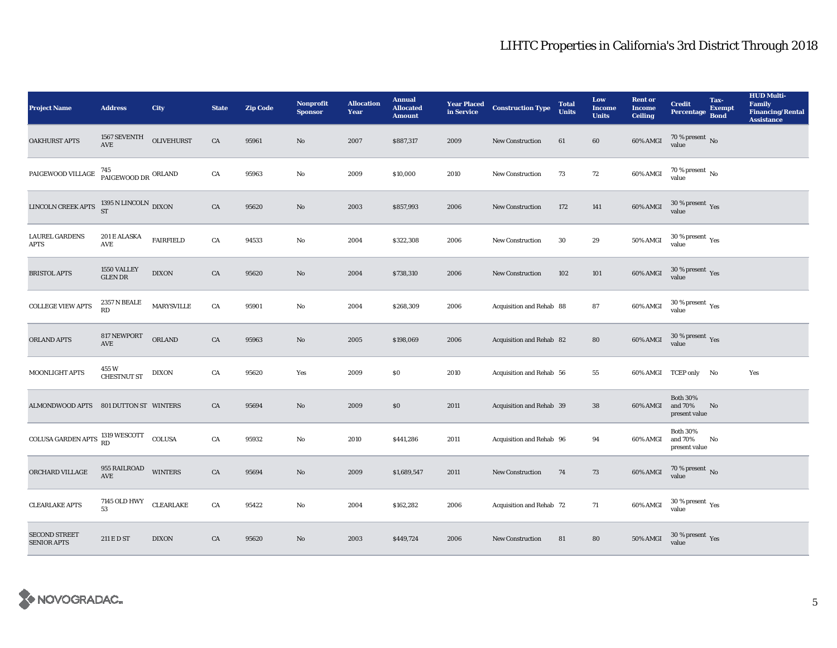| <b>Project Name</b>                                                                                                                               | <b>Address</b>                                   | <b>City</b>       | <b>State</b> | <b>Zip Code</b> | <b>Nonprofit</b><br><b>Sponsor</b> | <b>Allocation</b><br>Year | <b>Annual</b><br><b>Allocated</b><br><b>Amount</b> |      | <b>Year Placed Construction Type</b><br>in Service | <b>Total</b><br><b>Units</b> | Low<br><b>Income</b><br><b>Units</b> | <b>Rent or</b><br><b>Income</b><br><b>Ceiling</b> | <b>Credit</b><br><b>Percentage</b>             | Tax-<br><b>Exempt</b><br><b>Bond</b> | <b>HUD Multi-</b><br>Family<br><b>Financing/Rental</b><br><b>Assistance</b> |
|---------------------------------------------------------------------------------------------------------------------------------------------------|--------------------------------------------------|-------------------|--------------|-----------------|------------------------------------|---------------------------|----------------------------------------------------|------|----------------------------------------------------|------------------------------|--------------------------------------|---------------------------------------------------|------------------------------------------------|--------------------------------------|-----------------------------------------------------------------------------|
| <b>OAKHURST APTS</b>                                                                                                                              | 1567 SEVENTH<br>AVE                              | <b>OLIVEHURST</b> | CA           | 95961           | $\mathbf{No}$                      | 2007                      | \$887,317                                          | 2009 | New Construction                                   | 61                           | 60                                   | 60% AMGI                                          | $70\,\%$ present $\,$ No value                 |                                      |                                                                             |
| PAIGEWOOD VILLAGE                                                                                                                                 | <sup>745</sup><br>PAIGEWOOD DR <sup>ORLAND</sup> |                   | ${\rm CA}$   | 95963           | $\rm No$                           | 2009                      | \$10,000                                           | 2010 | New Construction                                   | 73                           | 72                                   | 60% AMGI                                          | $70$ % present $\,$ No value                   |                                      |                                                                             |
| LINCOLN CREEK APTS                                                                                                                                | 1395 N LINCOLN $_{\rm DIXON}$                    |                   | ${\rm CA}$   | 95620           | $\rm No$                           | 2003                      | \$857,993                                          | 2006 | <b>New Construction</b>                            | 172                          | 141                                  | 60% AMGI                                          | $30\,\%$ present $\,$ Yes value                |                                      |                                                                             |
| <b>LAUREL GARDENS</b><br><b>APTS</b>                                                                                                              | 201 E ALASKA<br>$\mathbf{A}\mathbf{V}\mathbf{E}$ | <b>FAIRFIELD</b>  | ${\rm CA}$   | 94533           | $\mathbf{N}\mathbf{o}$             | 2004                      | \$322,308                                          | 2006 | New Construction                                   | 30                           | 29                                   | $50\%$ AMGI                                       | $30\,\%$ present $\,$ Yes value                |                                      |                                                                             |
| <b>BRISTOL APTS</b>                                                                                                                               | 1550 VALLEY<br><b>GLEN DR</b>                    | <b>DIXON</b>      | ${\rm CA}$   | 95620           | $\rm No$                           | 2004                      | \$738,310                                          | 2006 | New Construction                                   | 102                          | $101\,$                              | 60% AMGI                                          | $30\,\%$ present $\,$ Yes value                |                                      |                                                                             |
| <b>COLLEGE VIEW APTS</b>                                                                                                                          | 2357 N BEALE<br><b>RD</b>                        | <b>MARYSVILLE</b> | ${\rm CA}$   | 95901           | $\mathbf{No}$                      | 2004                      | \$268,309                                          | 2006 | Acquisition and Rehab 88                           |                              | 87                                   | 60% AMGI                                          | $30\,\%$ present $\,$ Yes value                |                                      |                                                                             |
| ORLAND APTS                                                                                                                                       | 817 NEWPORT<br><b>AVE</b>                        | ORLAND            | CA           | 95963           | $\rm No$                           | 2005                      | \$198,069                                          | 2006 | Acquisition and Rehab 82                           |                              | 80                                   | 60% AMGI                                          | $30\,\%$ present $\,\mathrm{Yes}$ value        |                                      |                                                                             |
| MOONLIGHT APTS                                                                                                                                    | 455 W<br><b>CHESTNUT ST</b>                      | <b>DIXON</b>      | ${\rm CA}$   | 95620           | Yes                                | 2009                      | \$0                                                | 2010 | Acquisition and Rehab 56                           |                              | ${\bf 55}$                           |                                                   | 60% AMGI TCEP only No                          |                                      | Yes                                                                         |
| ALMONDWOOD APTS 801 DUTTON ST WINTERS                                                                                                             |                                                  |                   | CA           | 95694           | $\rm No$                           | 2009                      | $\$0$                                              | 2011 | Acquisition and Rehab 39                           |                              | 38                                   | 60% AMGI                                          | <b>Both 30%</b><br>and 70%<br>present value    | No                                   |                                                                             |
| $\begin{minipage}{.4\linewidth} \textbf{COLUSA GARDEN APTS} \begin{tabular}{ll} \bf{1319 WESCOTT} & \textbf{COLUSA} \end{tabular} \end{minipage}$ |                                                  |                   | CA           | 95932           | $\mathbf{N}\mathbf{o}$             | 2010                      | \$441,286                                          | 2011 | Acquisition and Rehab 96                           |                              | 94                                   | 60% AMGI                                          | <b>Both 30%</b><br>and $70\%$<br>present value | No                                   |                                                                             |
| ORCHARD VILLAGE                                                                                                                                   | 955 RAILROAD<br>$\operatorname{AVE}$             | <b>WINTERS</b>    | CA           | 95694           | $\rm No$                           | 2009                      | \$1,689,547                                        | 2011 | New Construction                                   | 74                           | 73                                   | $60\%$ AMGI                                       | $70\,\%$ present $\,$ No value                 |                                      |                                                                             |
| <b>CLEARLAKE APTS</b>                                                                                                                             | 7145 OLD HWY<br>53                               | CLEARLAKE         | CA           | 95422           | $\mathbf{No}$                      | 2004                      | \$162,282                                          | 2006 | Acquisition and Rehab 72                           |                              | 71                                   | 60% AMGI                                          | $30\,\%$ present $\,\mathrm{Yes}$ value        |                                      |                                                                             |
| <b>SECOND STREET</b><br><b>SENIOR APTS</b>                                                                                                        | 211 E D ST                                       | <b>DIXON</b>      | ${\rm CA}$   | 95620           | $\rm No$                           | 2003                      | \$449,724                                          | 2006 | <b>New Construction</b>                            | 81                           | 80                                   | <b>50% AMGI</b>                                   | $30\,\%$ present $\,$ Yes value                |                                      |                                                                             |

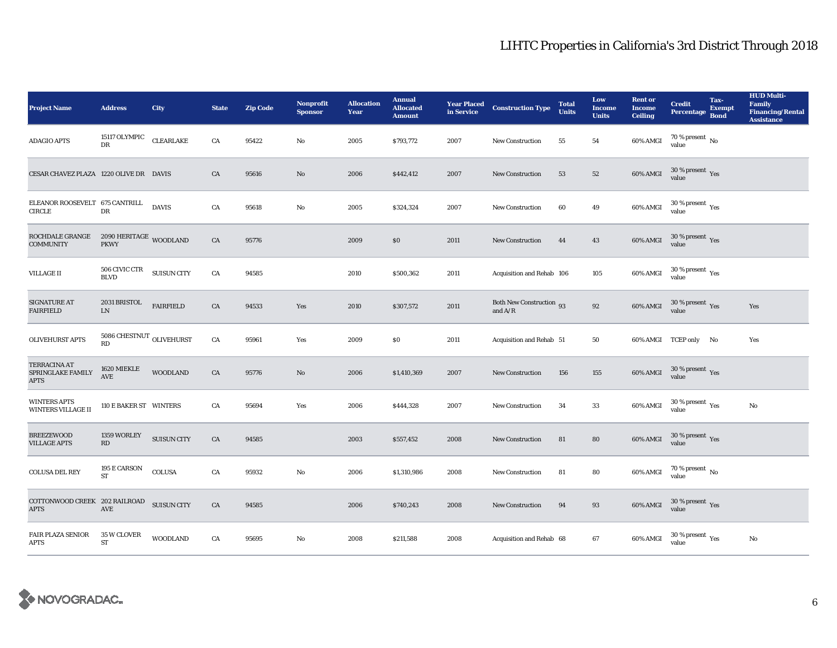| <b>Project Name</b>                                      | <b>Address</b>                                    | City               | <b>State</b> | <b>Zip Code</b> | Nonprofit<br><b>Sponsor</b> | <b>Allocation</b><br>Year | <b>Annual</b><br><b>Allocated</b><br><b>Amount</b> | <b>Year Placed<br/>in Service</b> | <b>Construction Type</b>                                | <b>Total</b><br><b>Units</b> | Low<br><b>Income</b><br><b>Units</b> | <b>Rent or</b><br><b>Income</b><br><b>Ceiling</b> | <b>Credit</b><br><b>Percentage</b>                   | Tax-<br><b>Exempt</b><br><b>Bond</b> | <b>HUD Multi-</b><br><b>Family</b><br><b>Financing/Rental</b><br><b>Assistance</b> |
|----------------------------------------------------------|---------------------------------------------------|--------------------|--------------|-----------------|-----------------------------|---------------------------|----------------------------------------------------|-----------------------------------|---------------------------------------------------------|------------------------------|--------------------------------------|---------------------------------------------------|------------------------------------------------------|--------------------------------------|------------------------------------------------------------------------------------|
| <b>ADAGIO APTS</b>                                       | 15117 OLYMPIC<br>DR                               | CLEARLAKE          | CA           | 95422           | No                          | 2005                      | \$793,772                                          | 2007                              | New Construction                                        | 55                           | 54                                   | 60% AMGI                                          | 70 % present $\hbox{~No}$<br>value                   |                                      |                                                                                    |
| CESAR CHAVEZ PLAZA 1220 OLIVE DR DAVIS                   |                                                   |                    | CA           | 95616           | $\mathbf{N}\mathbf{o}$      | 2006                      | \$442,412                                          | 2007                              | New Construction                                        | 53                           | 52                                   | 60% AMGI                                          | $30\,\%$ present $\,$ Yes value                      |                                      |                                                                                    |
| ELEANOR ROOSEVELT 675 CANTRILL<br>CIRCLE                 | DR                                                | <b>DAVIS</b>       | CA           | 95618           | No                          | 2005                      | \$324,324                                          | 2007                              | <b>New Construction</b>                                 | 60                           | 49                                   | 60% AMGI                                          | $30$ % present $\,$ $\rm Yes$<br>value               |                                      |                                                                                    |
| ROCHDALE GRANGE<br><b>COMMUNITY</b>                      | $2090\ \mathrm{HERITAGE}$ WOODLAND<br><b>PKWY</b> |                    | ${\rm CA}$   | 95776           |                             | 2009                      | $\$0$                                              | 2011                              | New Construction                                        | 44                           | $\bf 43$                             | 60% AMGI                                          | $30\,\%$ present $\,$ Yes value                      |                                      |                                                                                    |
| <b>VILLAGE II</b>                                        | 506 CIVIC CTR<br><b>BLVD</b>                      | <b>SUISUN CITY</b> | ${\rm CA}$   | 94585           |                             | 2010                      | \$500,362                                          | 2011                              | Acquisition and Rehab 106                               |                              | 105                                  | 60% AMGI                                          | $30\,\%$ present $\,$ Yes value                      |                                      |                                                                                    |
| SIGNATURE AT<br><b>FAIRFIELD</b>                         | 2031 BRISTOL<br>${\rm LN}$                        | <b>FAIRFIELD</b>   | ${\rm CA}$   | 94533           | Yes                         | 2010                      | \$307,572                                          | 2011                              | Both New Construction 93<br>and $\mathrm{A}/\mathrm{R}$ |                              | 92                                   | 60% AMGI                                          | $30\,\%$ present $\,$ Yes value                      |                                      | Yes                                                                                |
| <b>OLIVEHURST APTS</b>                                   | $5086 \, \mbox{CHESTNUT}$ OLIVEHURST<br>RD        |                    | CA           | 95961           | Yes                         | 2009                      | \$0                                                | 2011                              | Acquisition and Rehab 51                                |                              | 50                                   |                                                   | 60% AMGI TCEP only No                                |                                      | Yes                                                                                |
| <b>TERRACINA AT</b><br>SPRINGLAKE FAMILY<br><b>APTS</b>  | 1620 MIEKLE<br>AVE                                | <b>WOODLAND</b>    | CA           | 95776           | No                          | 2006                      | \$1,410,369                                        | 2007                              | New Construction                                        | 156                          | 155                                  | 60% AMGI                                          | $30\,\%$ present $\,\mathrm{Yes}$ value              |                                      |                                                                                    |
| <b>WINTERS APTS</b><br><b>WINTERS VILLAGE II</b>         | 110 E BAKER ST WINTERS                            |                    | CA           | 95694           | Yes                         | 2006                      | \$444,328                                          | 2007                              | New Construction                                        | 34                           | 33                                   | 60% AMGI                                          | 30 % present $\rm\thinspace\gamma_{\rm es}$<br>value |                                      | No                                                                                 |
| <b>BREEZEWOOD</b><br><b>VILLAGE APTS</b>                 | 1359 WORLEY<br>$\mathbf{R}\mathbf{D}$             | <b>SUISUN CITY</b> | ${\rm CA}$   | 94585           |                             | 2003                      | \$557,452                                          | 2008                              | <b>New Construction</b>                                 | 81                           | 80                                   | <b>60% AMGI</b>                                   | $30\,\%$ present $\,\mathrm{Yes}$ value              |                                      |                                                                                    |
| COLUSA DEL REY                                           | 195 E CARSON<br>ST                                | COLUSA             | ${\rm CA}$   | 95932           | No                          | 2006                      | \$1,310,986                                        | 2008                              | New Construction                                        | 81                           | 80                                   | 60% AMGI                                          | $70\,\%$ present $\,$ No value                       |                                      |                                                                                    |
| COTTONWOOD CREEK 202 RAILROAD SUISUN CITY<br><b>APTS</b> | $\operatorname{AVE}$                              |                    | CA           | 94585           |                             | 2006                      | \$740,243                                          | 2008                              | <b>New Construction</b>                                 | 94                           | 93                                   | 60% AMGI                                          | $30\,\%$ present $\,$ Yes value                      |                                      |                                                                                    |
| <b>FAIR PLAZA SENIOR</b><br><b>APTS</b>                  | 35 W CLOVER<br><b>ST</b>                          | <b>WOODLAND</b>    | CA           | 95695           | No                          | 2008                      | \$211,588                                          | 2008                              | Acquisition and Rehab 68                                |                              | 67                                   | 60% AMGI                                          | $30\,\%$ present $\,$ $\rm Yes$<br>value             |                                      | No                                                                                 |

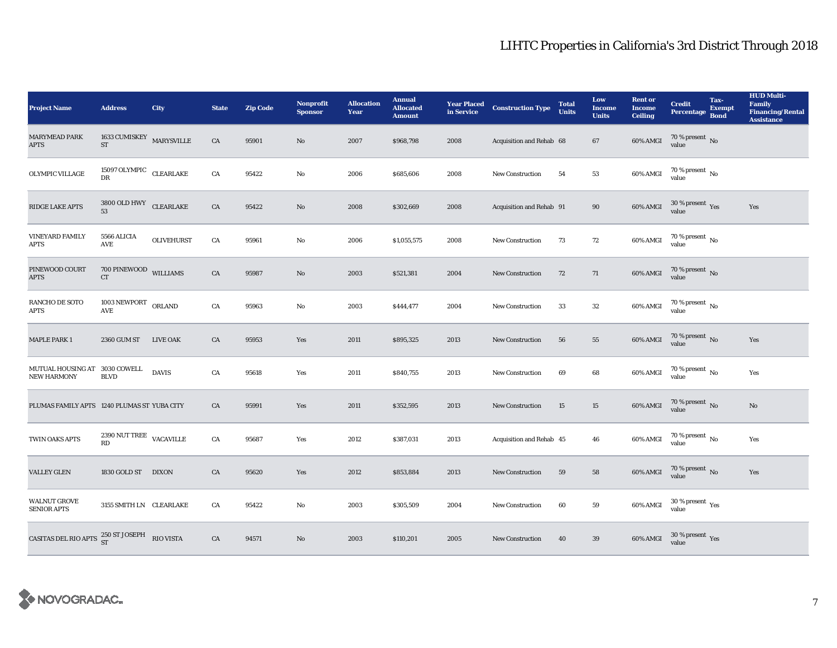| <b>Project Name</b>                                           | <b>Address</b>                                          | City              | <b>State</b> | <b>Zip Code</b> | <b>Nonprofit</b><br><b>Sponsor</b> | <b>Allocation</b><br>Year | <b>Annual</b><br><b>Allocated</b><br><b>Amount</b> |      | <b>Year Placed Construction Type</b><br>in Service <b>Construction</b> Type | <b>Total</b><br><b>Units</b> | Low<br><b>Income</b><br><b>Units</b> | <b>Rent or</b><br><b>Income</b><br><b>Ceiling</b> | <b>Credit</b><br><b>Percentage</b>      | Tax-<br><b>Exempt</b><br><b>Bond</b> | <b>HUD Multi-</b><br><b>Family</b><br><b>Financing/Rental</b><br><b>Assistance</b> |
|---------------------------------------------------------------|---------------------------------------------------------|-------------------|--------------|-----------------|------------------------------------|---------------------------|----------------------------------------------------|------|-----------------------------------------------------------------------------|------------------------------|--------------------------------------|---------------------------------------------------|-----------------------------------------|--------------------------------------|------------------------------------------------------------------------------------|
| <b>MARYMEAD PARK</b><br><b>APTS</b>                           | 1633 CUMISKEY $\,$ MARYSVILLE<br>ST                     |                   | CA           | 95901           | No                                 | 2007                      | \$968,798                                          | 2008 | Acquisition and Rehab 68                                                    |                              | 67                                   | 60% AMGI                                          | 70 % present $\hbox{No}$<br>value       |                                      |                                                                                    |
| OLYMPIC VILLAGE                                               | 15097 OLYMPIC CLEARLAKE<br>DR                           |                   | ${\rm CA}$   | 95422           | No                                 | 2006                      | \$685,606                                          | 2008 | New Construction                                                            | 54                           | ${\bf 53}$                           | 60% AMGI                                          | $70$ % present $\,$ No value            |                                      |                                                                                    |
| RIDGE LAKE APTS                                               | $3800$ OLD HWY $\quad$ CLEARLAKE<br>53                  |                   | ${\rm CA}$   | 95422           | $\mathbf{N}\mathbf{o}$             | 2008                      | \$302,669                                          | 2008 | Acquisition and Rehab 91                                                    |                              | 90                                   | 60% AMGI                                          | $30\,\%$ present $\,$ Yes value         |                                      | Yes                                                                                |
| <b>VINEYARD FAMILY</b><br><b>APTS</b>                         | 5566 ALICIA<br>AVE                                      | <b>OLIVEHURST</b> | CA           | 95961           | $\mathbf{N}\mathbf{o}$             | 2006                      | \$1,055,575                                        | 2008 | New Construction                                                            | 73                           | $72\,$                               | 60% AMGI                                          | $70$ % present $\,$ No value            |                                      |                                                                                    |
| PINEWOOD COURT<br><b>APTS</b>                                 | 700 PINEWOOD WILLIAMS<br>CT                             |                   | CA           | 95987           | No                                 | 2003                      | \$521,381                                          | 2004 | New Construction                                                            | 72                           | 71                                   | 60% AMGI                                          | $70$ % present $\,$ No value            |                                      |                                                                                    |
| RANCHO DE SOTO<br><b>APTS</b>                                 | $1003$ NEWPORT $\hbox{~ORLAND}$<br>$\operatorname{AVE}$ |                   | CA           | 95963           | No                                 | 2003                      | \$444,477                                          | 2004 | <b>New Construction</b>                                                     | 33                           | ${\bf 32}$                           | 60% AMGI                                          | $70$ % present $\,$ No value            |                                      |                                                                                    |
| <b>MAPLE PARK 1</b>                                           | 2360 GUM ST                                             | <b>LIVE OAK</b>   | ${\rm CA}$   | 95953           | Yes                                | 2011                      | \$895,325                                          | 2013 | <b>New Construction</b>                                                     | 56                           | 55                                   | $60\%$ AMGI                                       | $70$ % present $\,$ No value            |                                      | Yes                                                                                |
| MUTUAL HOUSING AT 3030 COWELL<br><b>NEW HARMONY</b>           | <b>BLVD</b>                                             | <b>DAVIS</b>      | ${\rm CA}$   | 95618           | Yes                                | 2011                      | \$840,755                                          | 2013 | <b>New Construction</b>                                                     | 69                           | 68                                   | 60% AMGI                                          | $70$ % present $\,$ No value            |                                      | Yes                                                                                |
| PLUMAS FAMILY APTS 1240 PLUMAS ST YUBA CITY                   |                                                         |                   | CA           | 95991           | Yes                                | 2011                      | \$352,595                                          | 2013 | New Construction                                                            | 15                           | 15                                   | <b>60% AMGI</b>                                   | $70$ % present $\,$ No value            |                                      | $\rm No$                                                                           |
| TWIN OAKS APTS                                                | $2390$ NUT TREE $\,$ VACAVILLE<br>RD                    |                   | CA           | 95687           | Yes                                | 2012                      | \$387,031                                          | 2013 | Acquisition and Rehab 45                                                    |                              | 46                                   | 60% AMGI                                          | $70$ % present $\,$ No $\,$<br>value    |                                      | Yes                                                                                |
| <b>VALLEY GLEN</b>                                            | 1830 GOLD ST DIXON                                      |                   | CA           | 95620           | Yes                                | 2012                      | \$853,884                                          | 2013 | New Construction                                                            | 59                           | 58                                   | 60% AMGI                                          | $70\,\%$ present $\,$ No value          |                                      | Yes                                                                                |
| <b>WALNUT GROVE</b><br><b>SENIOR APTS</b>                     | 3155 SMITH LN CLEARLAKE                                 |                   | CA           | 95422           | $\rm No$                           | 2003                      | \$305,509                                          | 2004 | <b>New Construction</b>                                                     | 60                           | ${\bf 59}$                           | 60% AMGI                                          | $30\,\%$ present $\,$ Yes value         |                                      |                                                                                    |
| CASITAS DEL RIO APTS $^{250}_{\text{ST}}$ ST JOSEPH RIO VISTA |                                                         |                   | CA           | 94571           | No                                 | 2003                      | \$110,201                                          | 2005 | <b>New Construction</b>                                                     | 40                           | 39                                   | 60% AMGI                                          | $30\,\%$ present $\,\mathrm{Yes}$ value |                                      |                                                                                    |

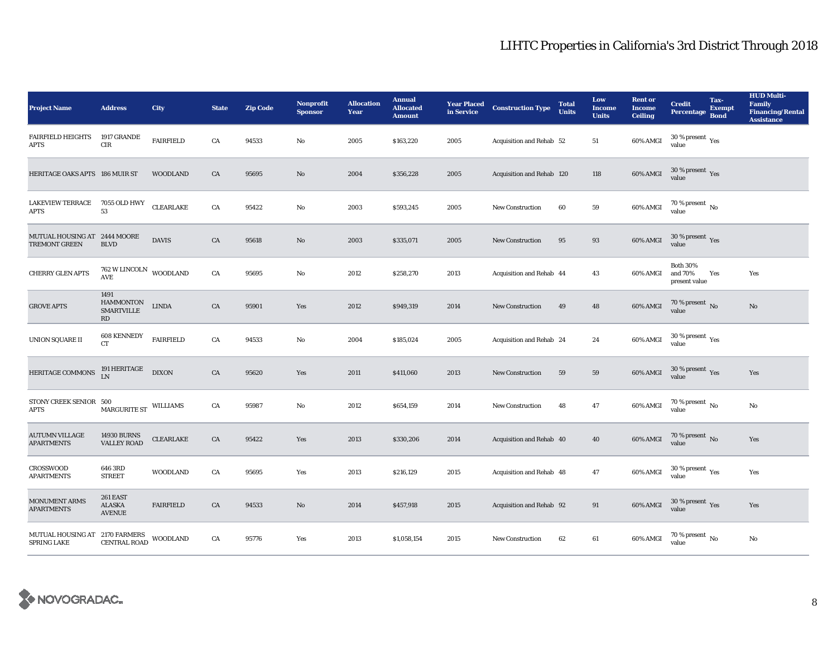| <b>Project Name</b>                                        | <b>Address</b>                                                        | City             | <b>State</b> | <b>Zip Code</b> | <b>Nonprofit</b><br><b>Sponsor</b> | <b>Allocation</b><br>Year | <b>Annual</b><br><b>Allocated</b><br><b>Amount</b> |      | <b>Year Placed Construction Type</b><br>in Service | <b>Total</b><br><b>Units</b> | Low<br><b>Income</b><br><b>Units</b> | <b>Rent or</b><br><b>Income</b><br><b>Ceiling</b> | <b>Credit</b><br><b>Percentage</b>              | Tax-<br><b>Exempt</b><br><b>Bond</b> | <b>HUD Multi-</b><br><b>Family</b><br><b>Financing/Rental</b><br><b>Assistance</b> |
|------------------------------------------------------------|-----------------------------------------------------------------------|------------------|--------------|-----------------|------------------------------------|---------------------------|----------------------------------------------------|------|----------------------------------------------------|------------------------------|--------------------------------------|---------------------------------------------------|-------------------------------------------------|--------------------------------------|------------------------------------------------------------------------------------|
| <b>FAIRFIELD HEIGHTS</b><br><b>APTS</b>                    | 1917 GRANDE<br>$_{\rm CIR}$                                           | <b>FAIRFIELD</b> | CA           | 94533           | $\mathbf{No}$                      | 2005                      | \$163,220                                          | 2005 | Acquisition and Rehab 52                           |                              | 51                                   | 60% AMGI                                          | 30 % present $\rm \gamma_{\rm PS}$<br>value     |                                      |                                                                                    |
| HERITAGE OAKS APTS 186 MUIR ST                             |                                                                       | <b>WOODLAND</b>  | CA           | 95695           | $\rm\thinspace No$                 | 2004                      | \$356,228                                          | 2005 | Acquisition and Rehab 120                          |                              | 118                                  | <b>60% AMGI</b>                                   | $30\,\%$ present $\,$ Yes value                 |                                      |                                                                                    |
| <b>LAKEVIEW TERRACE</b><br><b>APTS</b>                     | 7055 OLD HWY<br>53                                                    | <b>CLEARLAKE</b> | CA           | 95422           | $\mathbf{No}$                      | 2003                      | \$593,245                                          | 2005 | New Construction                                   | 60                           | ${\bf 59}$                           | 60% AMGI                                          | $70$ % present $\,$ No value                    |                                      |                                                                                    |
| MUTUAL HOUSING AT 2444 MOORE<br><b>TREMONT GREEN</b>       | <b>BLVD</b>                                                           | <b>DAVIS</b>     | ${\rm CA}$   | 95618           | $\rm No$                           | 2003                      | \$335,071                                          | 2005 | <b>New Construction</b>                            | 95                           | 93                                   | 60% AMGI                                          | 30 % present $\,$ $\rm Yes$<br>value            |                                      |                                                                                    |
| <b>CHERRY GLEN APTS</b>                                    | $762\,\rm{W}\,\rm{LINCOLN}$ WOODLAND<br>$\operatorname{\mathsf{AVE}}$ |                  | ${\rm CA}$   | 95695           | $\mathbf{No}$                      | 2012                      | \$258,270                                          | 2013 | Acquisition and Rehab 44                           |                              | 43                                   | 60% AMGI                                          | <b>Both 30%</b><br>and $70\%$<br>present value  | Yes                                  | Yes                                                                                |
| <b>GROVE APTS</b>                                          | 1491<br><b>HAMMONTON</b><br><b>SMARTVILLE</b><br>RD                   | <b>LINDA</b>     | CA           | 95901           | Yes                                | 2012                      | \$949,319                                          | 2014 | <b>New Construction</b>                            | 49                           | 48                                   | 60% AMGI                                          | $70$ % present $\,$ No value                    |                                      | $\mathbf{N}\mathbf{o}$                                                             |
| UNION SQUARE II                                            | <b>608 KENNEDY</b><br><b>CT</b>                                       | <b>FAIRFIELD</b> | CA           | 94533           | $\mathbf{N}\mathbf{o}$             | 2004                      | \$185,024                                          | 2005 | Acquisition and Rehab 24                           |                              | 24                                   | 60% AMGI                                          | $30\,\%$ present $\rm\thinspace_{Yes}$<br>value |                                      |                                                                                    |
| HERITAGE COMMONS                                           | 191 ${\rm HERITAGE}$ LN                                               | <b>DIXON</b>     | ${\rm CA}$   | 95620           | Yes                                | 2011                      | \$411,060                                          | 2013 | New Construction                                   | 59                           | ${\bf 59}$                           | 60% AMGI                                          | $30\,\%$ present $\,$ Yes value                 |                                      | Yes                                                                                |
| STONY CREEK SENIOR 500<br>APTS                             | $\mbox{MARGURITE}\, \mbox{ST}$ WILLIAMS                               |                  | CA           | 95987           | $\mathbf {No}$                     | 2012                      | \$654,159                                          | 2014 | New Construction                                   | 48                           | 47                                   | 60% AMGI                                          | $70\,\%$ present $\,$ No value                  |                                      | No                                                                                 |
| <b>AUTUMN VILLAGE</b><br><b>APARTMENTS</b>                 | <b>14930 BURNS</b><br><b>VALLEY ROAD</b>                              | <b>CLEARLAKE</b> | CA           | 95422           | Yes                                | 2013                      | \$330,206                                          | 2014 | Acquisition and Rehab 40                           |                              | 40                                   | 60% AMGI                                          | $70\,\%$ present $\,$ No value                  |                                      | Yes                                                                                |
| <b>CROSSWOOD</b><br><b>APARTMENTS</b>                      | 646 3RD<br><b>STREET</b>                                              | <b>WOODLAND</b>  | CA           | 95695           | Yes                                | 2013                      | \$216,129                                          | 2015 | Acquisition and Rehab 48                           |                              | 47                                   | 60% AMGI                                          | $30\,\%$ present $\,\mathrm{Yes}$ value         |                                      | Yes                                                                                |
| MONUMENT ARMS<br><b>APARTMENTS</b>                         | 261 EAST<br>ALASKA<br><b>AVENUE</b>                                   | <b>FAIRFIELD</b> | CA           | 94533           | $\mathbf{No}$                      | 2014                      | \$457,918                                          | 2015 | Acquisition and Rehab 92                           |                              | 91                                   | 60% AMGI                                          | $30\,\%$ present $\,$ Yes value                 |                                      | Yes                                                                                |
| MUTUAL HOUSING AT 2170 FARMERS<br>SPRING LAKE CENTRAL ROAD |                                                                       | <b>WOODLAND</b>  | CA           | 95776           | Yes                                | 2013                      | \$1,058,154                                        | 2015 | <b>New Construction</b>                            | 62                           | $61\,$                               | 60% AMGI                                          | 70 % present $\,$ No $\,$<br>value              |                                      | No                                                                                 |

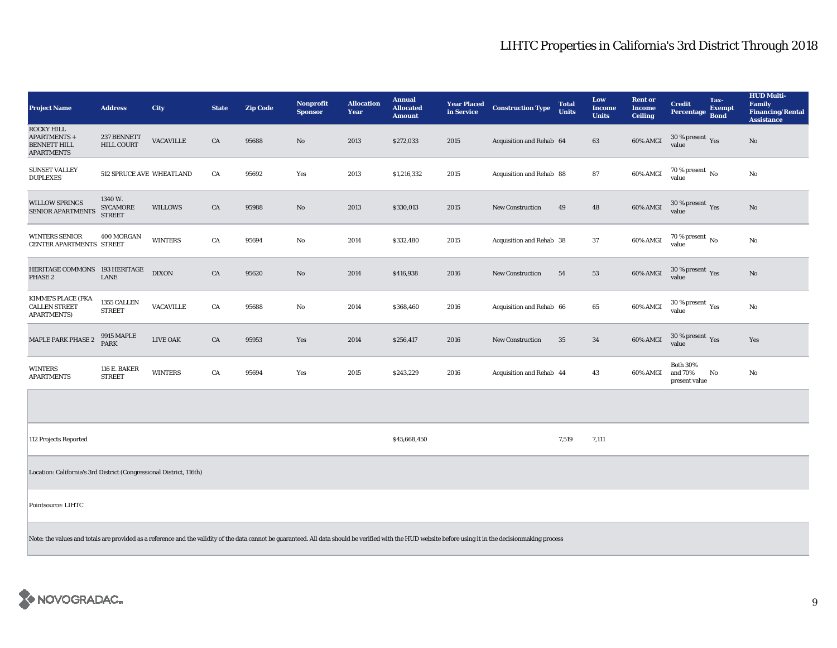| <b>Project Name</b>                                                                                                                                                                                       | <b>Address</b>                              | City             | <b>State</b> | <b>Zip Code</b> | Nonprofit<br><b>Sponsor</b> | <b>Allocation</b><br>Year | <b>Annual</b><br><b>Allocated</b><br><b>Amount</b> | <b>Year Placed<br/>in Service</b> | <b>Construction Type</b> | <b>Total</b><br><b>Units</b> | Low<br><b>Income</b><br><b>Units</b> | <b>Rent or</b><br><b>Income</b><br><b>Ceiling</b> | <b>Credit</b><br>Percentage                    | Tax-<br><b>Exempt</b><br><b>Bond</b> | <b>HUD Multi-</b><br><b>Family</b><br><b>Financing/Rental</b><br><b>Assistance</b> |
|-----------------------------------------------------------------------------------------------------------------------------------------------------------------------------------------------------------|---------------------------------------------|------------------|--------------|-----------------|-----------------------------|---------------------------|----------------------------------------------------|-----------------------------------|--------------------------|------------------------------|--------------------------------------|---------------------------------------------------|------------------------------------------------|--------------------------------------|------------------------------------------------------------------------------------|
| <b>ROCKY HILL</b><br>APARTMENTS +<br><b>BENNETT HILL</b><br><b>APARTMENTS</b>                                                                                                                             | 237 BENNETT<br><b>HILL COURT</b>            | <b>VACAVILLE</b> | CA           | 95688           | $\mathbf{No}$               | 2013                      | \$272,033                                          | 2015                              | Acquisition and Rehab 64 |                              | 63                                   | 60% AMGI                                          | $30$ % present $\,$ $\rm Yes$<br>value         |                                      | $\mathbf{N}\mathbf{o}$                                                             |
| <b>SUNSET VALLEY</b><br><b>DUPLEXES</b>                                                                                                                                                                   | 512 SPRUCE AVE WHEATLAND                    |                  | CA           | 95692           | Yes                         | 2013                      | \$1,216,332                                        | 2015                              | Acquisition and Rehab 88 |                              | 87                                   | 60% AMGI                                          | $70$ % present $\,$ No value                   |                                      | No                                                                                 |
| <b>WILLOW SPRINGS</b><br><b>SENIOR APARTMENTS</b>                                                                                                                                                         | 1340 W.<br><b>SYCAMORE</b><br><b>STREET</b> | <b>WILLOWS</b>   | CA           | 95988           | $\mathbf{No}$               | 2013                      | \$330,013                                          | 2015                              | New Construction         | 49                           | 48                                   | 60% AMGI                                          | 30 % present $\sqrt{\gamma_{\rm PS}}$<br>value |                                      | $\mathbf{No}$                                                                      |
| <b>WINTERS SENIOR</b><br>CENTER APARTMENTS STREET                                                                                                                                                         | 400 MORGAN                                  | <b>WINTERS</b>   | CA           | 95694           | No                          | 2014                      | \$332,480                                          | 2015                              | Acquisition and Rehab 38 |                              | 37                                   | 60% AMGI                                          | $70$ % present $\,$ No $\,$<br>value           |                                      | No                                                                                 |
| HERITAGE COMMONS 193 HERITAGE<br>PHASE 2                                                                                                                                                                  | <b>LANE</b>                                 | $\rm DIXON$      | CA           | 95620           | No                          | 2014                      | \$416,938                                          | 2016                              | New Construction         | 54                           | 53                                   | 60% AMGI                                          | 30 % present Yes<br>value                      |                                      | $\mathbf{No}$                                                                      |
| <b>KIMME'S PLACE (FKA</b><br><b>CALLEN STREET</b><br><b>APARTMENTS)</b>                                                                                                                                   | 1355 CALLEN<br><b>STREET</b>                | VACAVILLE        | CA           | 95688           | $\mathbf{N}\mathbf{o}$      | 2014                      | \$368,460                                          | 2016                              | Acquisition and Rehab 66 |                              | 65                                   | $60\%$ AMGI                                       | 30 % present $\rm \gamma_{\rm es}$<br>value    |                                      | No                                                                                 |
| MAPLE PARK PHASE 2                                                                                                                                                                                        | 9915 MAPLE<br><b>PARK</b>                   | LIVE OAK         | CA           | 95953           | Yes                         | 2014                      | \$256,417                                          | 2016                              | New Construction         | 35                           | $\bf{34}$                            | 60% AMGI                                          | 30 % present $\gamma_{\rm{es}}$<br>value       |                                      | Yes                                                                                |
| <b>WINTERS</b><br><b>APARTMENTS</b>                                                                                                                                                                       | <b>116 E. BAKER</b><br><b>STREET</b>        | <b>WINTERS</b>   | CA           | 95694           | Yes                         | 2015                      | \$243,229                                          | 2016                              | Acquisition and Rehab 44 |                              | 43                                   | 60% AMGI                                          | <b>Both 30%</b><br>and 70%<br>present value    | No                                   | No                                                                                 |
|                                                                                                                                                                                                           |                                             |                  |              |                 |                             |                           |                                                    |                                   |                          |                              |                                      |                                                   |                                                |                                      |                                                                                    |
| 112 Projects Reported                                                                                                                                                                                     |                                             |                  |              |                 |                             |                           | \$45,668,450                                       |                                   |                          | 7,519                        | 7,111                                |                                                   |                                                |                                      |                                                                                    |
| Location: California's 3rd District (Congressional District, 116th)                                                                                                                                       |                                             |                  |              |                 |                             |                           |                                                    |                                   |                          |                              |                                      |                                                   |                                                |                                      |                                                                                    |
| Pointsource: LIHTC                                                                                                                                                                                        |                                             |                  |              |                 |                             |                           |                                                    |                                   |                          |                              |                                      |                                                   |                                                |                                      |                                                                                    |
| Note: the values and totals are provided as a reference and the validity of the data cannot be guaranteed. All data should be verified with the HUD website before using it in the decisionmaking process |                                             |                  |              |                 |                             |                           |                                                    |                                   |                          |                              |                                      |                                                   |                                                |                                      |                                                                                    |